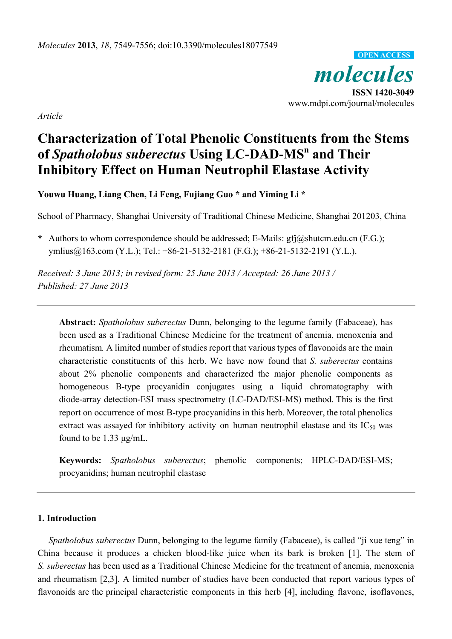*molecules*  **ISSN 1420-3049**  www.mdpi.com/journal/molecules **OPEN ACCESS**

*Article* 

# **Characterization of Total Phenolic Constituents from the Stems of** *Spatholobus suberectus* **Using LC-DAD-MS<sup>n</sup> and Their Inhibitory Effect on Human Neutrophil Elastase Activity**

**Youwu Huang, Liang Chen, Li Feng, Fujiang Guo \* and Yiming Li \*** 

School of Pharmacy, Shanghai University of Traditional Chinese Medicine, Shanghai 201203, China

**\*** Authors to whom correspondence should be addressed; E-Mails: gfj@shutcm.edu.cn (F.G.); ymlius@163.com (Y.L.); Tel.: +86-21-5132-2181 (F.G.); +86-21-5132-2191 (Y.L.).

*Received: 3 June 2013; in revised form: 25 June 2013 / Accepted: 26 June 2013 / Published: 27 June 2013* 

**Abstract:** *Spatholobus suberectus* Dunn, belonging to the legume family (Fabaceae), has been used as a Traditional Chinese Medicine for the treatment of anemia, menoxenia and rheumatism*.* A limited number of studies report that various types of flavonoids are the main characteristic constituents of this herb. We have now found that *S. suberectus* contains about 2% phenolic components and characterized the major phenolic components as homogeneous B-type procyanidin conjugates using a liquid chromatography with diode-array detection-ESI mass spectrometry (LC-DAD/ESI-MS) method. This is the first report on occurrence of most B-type procyanidins in this herb. Moreover, the total phenolics extract was assayed for inhibitory activity on human neutrophil elastase and its  $IC_{50}$  was found to be 1.33 μg/mL.

**Keywords:** *Spatholobus suberectus*; phenolic components; HPLC-DAD/ESI-MS; procyanidins; human neutrophil elastase

### **1. Introduction**

*Spatholobus suberectus* Dunn, belonging to the legume family (Fabaceae), is called "ji xue teng" in China because it produces a chicken blood-like juice when its bark is broken [1]. The stem of *S. suberectus* has been used as a Traditional Chinese Medicine for the treatment of anemia, menoxenia and rheumatism [2,3]. A limited number of studies have been conducted that report various types of flavonoids are the principal characteristic components in this herb [4], including flavone, isoflavones,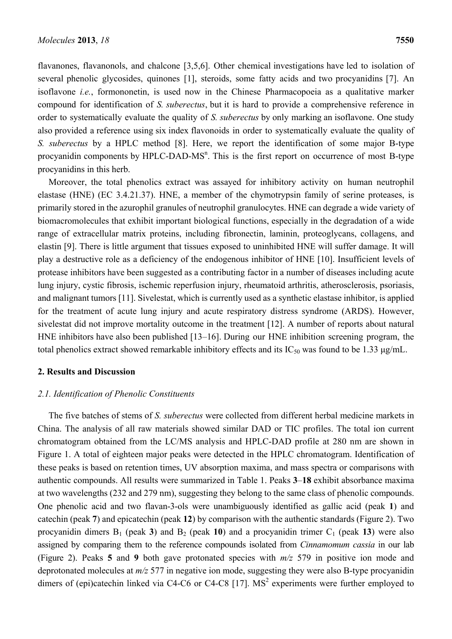flavanones, flavanonols, and chalcone [3,5,6]. Other chemical investigations have led to isolation of several phenolic glycosides, quinones [1], steroids, some fatty acids and two procyanidins [7]. An isoflavone *i.e.*, formononetin, is used now in the Chinese Pharmacopoeia as a qualitative marker compound for identification of *S. suberectus*, but it is hard to provide a comprehensive reference in order to systematically evaluate the quality of *S. suberectus* by only marking an isoflavone. One study also provided a reference using six index flavonoids in order to systematically evaluate the quality of *S. suberectus* by a HPLC method [8]. Here, we report the identification of some major B-type procyanidin components by HPLC-DAD-MS<sup>n</sup>. This is the first report on occurrence of most B-type procyanidins in this herb.

Moreover, the total phenolics extract was assayed for inhibitory activity on human neutrophil elastase (HNE) (EC 3.4.21.37). HNE, a member of the chymotrypsin family of serine proteases, is primarily stored in the azurophil granules of neutrophil granulocytes. HNE can degrade a wide variety of biomacromolecules that exhibit important biological functions, especially in the degradation of a wide range of extracellular matrix proteins, including fibronectin, laminin, proteoglycans, collagens, and elastin [9]. There is little argument that tissues exposed to uninhibited HNE will suffer damage. It will play a destructive role as a deficiency of the endogenous inhibitor of HNE [10]. Insufficient levels of protease inhibitors have been suggested as a contributing factor in a number of diseases including acute lung injury, cystic fibrosis, ischemic reperfusion injury, rheumatoid arthritis, atherosclerosis, psoriasis, and malignant tumors [11]. Sivelestat, which is currently used as a synthetic elastase inhibitor, is applied for the treatment of acute lung injury and acute respiratory distress syndrome (ARDS). However, sivelestat did not improve mortality outcome in the treatment [12]. A number of reports about natural HNE inhibitors have also been published [13–16]. During our HNE inhibition screening program, the total phenolics extract showed remarkable inhibitory effects and its  $IC_{50}$  was found to be 1.33  $\mu$ g/mL.

### **2. Results and Discussion**

#### *2.1. Identification of Phenolic Constituents*

The five batches of stems of *S. suberectus* were collected from different herbal medicine markets in China. The analysis of all raw materials showed similar DAD or TIC profiles. The total ion current chromatogram obtained from the LC/MS analysis and HPLC-DAD profile at 280 nm are shown in Figure 1. A total of eighteen major peaks were detected in the HPLC chromatogram. Identification of these peaks is based on retention times, UV absorption maxima, and mass spectra or comparisons with authentic compounds. All results were summarized in Table 1. Peaks **3**–**18** exhibit absorbance maxima at two wavelengths (232 and 279 nm), suggesting they belong to the same class of phenolic compounds. One phenolic acid and two flavan-3-ols were unambiguously identified as gallic acid (peak **1**) and catechin (peak **7**) and epicatechin (peak **12**) by comparison with the authentic standards (Figure 2). Two procyanidin dimers  $B_1$  (peak 3) and  $B_2$  (peak 10) and a procyanidin trimer  $C_1$  (peak 13) were also assigned by comparing them to the reference compounds isolated from *Cinnamomum cassia* in our lab (Figure 2). Peaks **5** and **9** both gave protonated species with *m/z* 579 in positive ion mode and deprotonated molecules at *m/z* 577 in negative ion mode, suggesting they were also B-type procyanidin dimers of (epi)catechin linked via C4-C6 or C4-C8 [17].  $MS<sup>2</sup>$  experiments were further employed to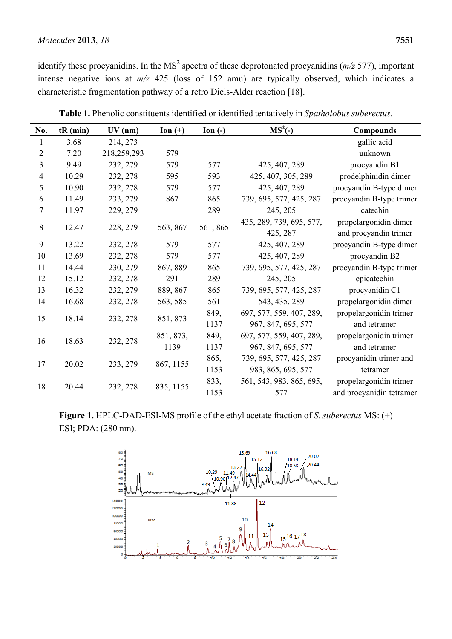### *Molecules* **2013**, *18* **7551**

identify these procyanidins. In the MS<sup>2</sup> spectra of these deprotonated procyanidins ( $m/z$  577), important intense negative ions at *m/z* 425 (loss of 152 amu) are typically observed, which indicates a characteristic fragmentation pathway of a retro Diels-Alder reaction [18].

| No.            | $tR$ (min) | $UV$ (nm)   | Ion $(+)$ | $\mathbf{Ion}$ (-) | $MS2(-)$                 | <b>Compounds</b>         |  |
|----------------|------------|-------------|-----------|--------------------|--------------------------|--------------------------|--|
| 1              | 3.68       | 214, 273    |           |                    |                          | gallic acid              |  |
| $\overline{2}$ | 7.20       | 218,259,293 | 579       |                    |                          | unknown                  |  |
| 3              | 9.49       | 232, 279    | 579       | 577                | 425, 407, 289            | procyandin B1            |  |
| $\overline{4}$ | 10.29      | 232, 278    | 595       | 593                | 425, 407, 305, 289       | prodelphinidin dimer     |  |
| 5              | 10.90      | 232, 278    | 579       | 577                | 425, 407, 289            | procyandin B-type dimer  |  |
| 6              | 11.49      | 233, 279    | 867       | 865                | 739, 695, 577, 425, 287  | procyandin B-type trimer |  |
| $\tau$         | 11.97      | 229, 279    |           | 289                | 245, 205                 | catechin                 |  |
| $\,8\,$        | 12.47      | 228, 279    | 563, 867  | 561, 865           | 435, 289, 739, 695, 577, | propelargonidin dimer    |  |
|                |            |             |           |                    | 425, 287                 | and procyandin trimer    |  |
| 9              | 13.22      | 232, 278    | 579       | 577                | 425, 407, 289            | procyandin B-type dimer  |  |
| 10             | 13.69      | 232, 278    | 579       | 577                | 425, 407, 289            | procyandin B2            |  |
| 11             | 14.44      | 230, 279    | 867, 889  | 865                | 739, 695, 577, 425, 287  | procyandin B-type trimer |  |
| 12             | 15.12      | 232, 278    | 291       | 289                | 245, 205                 | epicatechin              |  |
| 13             | 16.32      | 232, 279    | 889, 867  | 865                | 739, 695, 577, 425, 287  | procyanidin C1           |  |
| 14             | 16.68      | 232, 278    | 563, 585  | 561                | 543, 435, 289            | propelargonidin dimer    |  |
| 15             | 18.14      | 232, 278    | 851, 873  | 849,               | 697, 577, 559, 407, 289, | propelargonidin trimer   |  |
|                |            |             |           | 1137               | 967, 847, 695, 577       | and tetramer             |  |
| 16             | 18.63      | 232, 278    | 851, 873, | 849,               | 697, 577, 559, 407, 289, | propelargonidin trimer   |  |
|                |            |             | 1139      | 1137               | 967, 847, 695, 577       | and tetramer             |  |
| 17             | 20.02      | 233, 279    | 867, 1155 | 865,               | 739, 695, 577, 425, 287  | procyanidin trimer and   |  |
|                |            |             |           | 1153               | 983, 865, 695, 577       | tetramer                 |  |
| 18             | 20.44      | 232, 278    | 835, 1155 | 833,               | 561, 543, 983, 865, 695, | propelargonidin trimer   |  |
|                |            |             |           | 1153               | 577                      | and procyanidin tetramer |  |

**Table 1.** Phenolic constituents identified or identified tentatively in *Spatholobus suberectus*.

**Figure 1.** HPLC-DAD-ESI-MS profile of the ethyl acetate fraction of *S. suberectus* MS: (+) ESI; PDA: (280 nm).

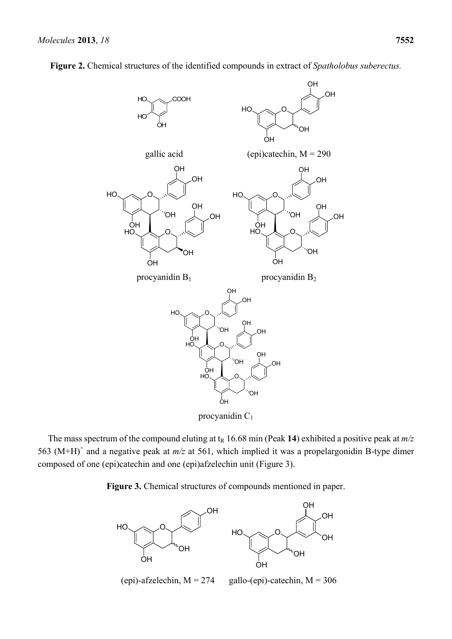

**Figure 2.** Chemical structures of the identified compounds in extract of *Spatholobus suberectus.* 

procyanidin C<sub>1</sub>

The mass spectrum of the compound eluting at  $t_R$  16.68 min (Peak 14) exhibited a positive peak at  $m/z$ 563 (M+H)<sup>+</sup> and a negative peak at  $m/z$  at 561, which implied it was a propelargonidin B-type dimer composed of one (epi)catechin and one (epi)afzelechin unit (Figure 3).

**Figure 3.** Chemical structures of compounds mentioned in paper.

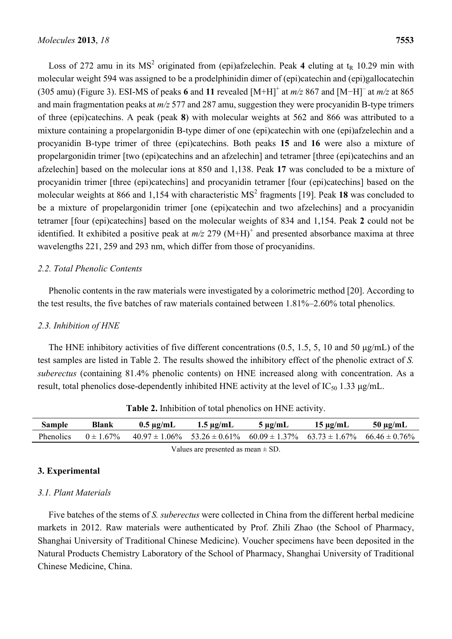Loss of 272 amu in its  $MS^2$  originated from (epi)afzelechin. Peak 4 eluting at t<sub>R</sub> 10.29 min with molecular weight 594 was assigned to be a prodelphinidin dimer of (epi)catechin and (epi)gallocatechin (305 amu) (Figure 3). ESI-MS of peaks **6** and **11** revealed [M+H]+ at *m/z* 867 and [M−H]– at *m/z* at 865 and main fragmentation peaks at *m/z* 577 and 287 amu, suggestion they were procyanidin B-type trimers of three (epi)catechins. A peak (peak **8**) with molecular weights at 562 and 866 was attributed to a mixture containing a propelargonidin B-type dimer of one (epi)catechin with one (epi)afzelechin and a procyanidin B-type trimer of three (epi)catechins. Both peaks **15** and **16** were also a mixture of propelargonidin trimer [two (epi)catechins and an afzelechin] and tetramer [three (epi)catechins and an afzelechin] based on the molecular ions at 850 and 1,138. Peak **17** was concluded to be a mixture of procyanidin trimer [three (epi)catechins] and procyanidin tetramer [four (epi)catechins] based on the molecular weights at 866 and 1,154 with characteristic MS<sup>2</sup> fragments [19]. Peak 18 was concluded to be a mixture of propelargonidin trimer [one (epi)catechin and two afzelechins] and a procyanidin tetramer [four (epi)catechins] based on the molecular weights of 834 and 1,154. Peak **2** could not be identified. It exhibited a positive peak at  $m/z$  279 (M+H)<sup>+</sup> and presented absorbance maxima at three wavelengths 221, 259 and 293 nm, which differ from those of procyanidins.

### *2.2. Total Phenolic Contents*

Phenolic contents in the raw materials were investigated by a colorimetric method [20]. According to the test results, the five batches of raw materials contained between 1.81%–2.60% total phenolics.

# *2.3. Inhibition of HNE*

The HNE inhibitory activities of five different concentrations (0.5, 1.5, 5, 10 and 50 μg/mL) of the test samples are listed in Table 2. The results showed the inhibitory effect of the phenolic extract of *S. suberectus* (containing 81.4% phenolic contents) on HNE increased along with concentration. As a result, total phenolics dose-dependently inhibited HNE activity at the level of  $IC_{50}$  1.33 μg/mL.

| Sample                                                                                                                                                                                                                                                                                           | Blank |                                                                                                                         | $0.5 \,\mu$ g/mL $1.5 \,\mu$ g/mL | $5 \mu g/mL$ | $15 \,\mu$ g/mL | $50 \mu g/mL$ |  |  |  |
|--------------------------------------------------------------------------------------------------------------------------------------------------------------------------------------------------------------------------------------------------------------------------------------------------|-------|-------------------------------------------------------------------------------------------------------------------------|-----------------------------------|--------------|-----------------|---------------|--|--|--|
|                                                                                                                                                                                                                                                                                                  |       | Phenolics $0 \pm 1.67\%$ $40.97 \pm 1.06\%$ $53.26 \pm 0.61\%$ $60.09 \pm 1.37\%$ $63.73 \pm 1.67\%$ $66.46 \pm 0.76\%$ |                                   |              |                 |               |  |  |  |
| $\mathbf{v}$ and $\mathbf{v}$ and $\mathbf{v}$ and $\mathbf{v}$ and $\mathbf{v}$ and $\mathbf{v}$ and $\mathbf{v}$ and $\mathbf{v}$ and $\mathbf{v}$ and $\mathbf{v}$ and $\mathbf{v}$ and $\mathbf{v}$ and $\mathbf{v}$ and $\mathbf{v}$ and $\mathbf{v}$ and $\mathbf{v}$ and $\mathbf{v}$ and |       |                                                                                                                         |                                   |              |                 |               |  |  |  |

Values are presented as mean ± SD.

# **3. Experimental**

# *3.1. Plant Materials*

Five batches of the stems of *S. suberectus* were collected in China from the different herbal medicine markets in 2012. Raw materials were authenticated by Prof. Zhili Zhao (the School of Pharmacy, Shanghai University of Traditional Chinese Medicine). Voucher specimens have been deposited in the Natural Products Chemistry Laboratory of the School of Pharmacy, Shanghai University of Traditional Chinese Medicine, China.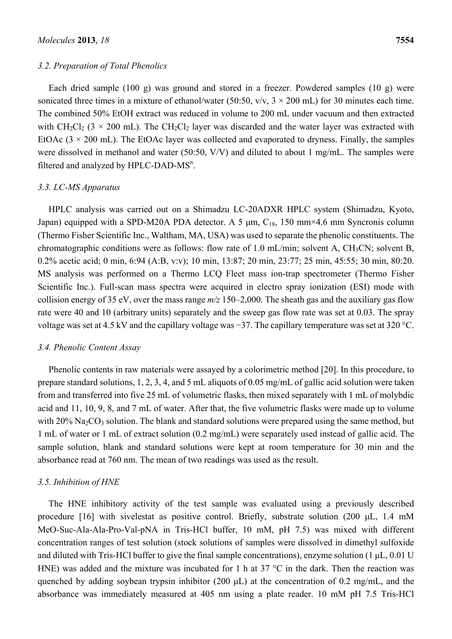#### *3.2. Preparation of Total Phenolics*

Each dried sample (100 g) was ground and stored in a freezer. Powdered samples (10 g) were sonicated three times in a mixture of ethanol/water (50:50,  $v/v$ ,  $3 \times 200$  mL) for 30 minutes each time. The combined 50% EtOH extract was reduced in volume to 200 mL under vacuum and then extracted with  $CH_2Cl_2$  (3 × 200 mL). The CH<sub>2</sub>Cl<sub>2</sub> layer was discarded and the water layer was extracted with EtOAc  $(3 \times 200 \text{ mL})$ . The EtOAc layer was collected and evaporated to dryness. Finally, the samples were dissolved in methanol and water (50:50, V/V) and diluted to about 1 mg/mL. The samples were filtered and analyzed by HPLC-DAD- $MS<sup>n</sup>$ .

#### *3.3. LC-MS Apparatus*

HPLC analysis was carried out on a Shimadzu LC-20ADXR HPLC system (Shimadzu, Kyoto, Japan) equipped with a SPD-M20A PDA detector. A 5  $\mu$ m, C<sub>18</sub>, 150 mm×4.6 mm Syncronis column (Thermo Fisher Scientific Inc., Waltham, MA, USA) was used to separate the phenolic constituents. The chromatographic conditions were as follows: flow rate of 1.0 mL/min; solvent A, CH<sub>3</sub>CN; solvent B, 0.2% acetic acid; 0 min, 6:94 (A:B, v:v); 10 min, 13:87; 20 min, 23:77; 25 min, 45:55; 30 min, 80:20. MS analysis was performed on a Thermo LCQ Fleet mass ion-trap spectrometer (Thermo Fisher Scientific Inc.). Full-scan mass spectra were acquired in electro spray ionization (ESI) mode with collision energy of 35 eV, over the mass range *m/z* 150–2,000. The sheath gas and the auxiliary gas flow rate were 40 and 10 (arbitrary units) separately and the sweep gas flow rate was set at 0.03. The spray voltage was set at 4.5 kV and the capillary voltage was −37. The capillary temperature was set at 320 °C.

#### *3.4. Phenolic Content Assay*

Phenolic contents in raw materials were assayed by a colorimetric method [20]. In this procedure, to prepare standard solutions, 1, 2, 3, 4, and 5 mL aliquots of 0.05 mg/mL of gallic acid solution were taken from and transferred into five 25 mL of volumetric flasks, then mixed separately with 1 mL of molybdic acid and 11, 10, 9, 8, and 7 mL of water. After that, the five volumetric flasks were made up to volume with  $20\%$  Na<sub>2</sub>CO<sub>3</sub> solution. The blank and standard solutions were prepared using the same method, but 1 mL of water or 1 mL of extract solution (0.2 mg/mL) were separately used instead of gallic acid. The sample solution, blank and standard solutions were kept at room temperature for 30 min and the absorbance read at 760 nm. The mean of two readings was used as the result.

#### *3.5. Inhibition of HNE*

The HNE inhibitory activity of the test sample was evaluated using a previously described procedure [16] with sivelestat as positive control. Briefly, substrate solution (200 μL, 1.4 mM MeO-Suc-Ala-Ala-Pro-Val-pNA in Tris-HCl buffer, 10 mM, pH 7.5) was mixed with different concentration ranges of test solution (stock solutions of samples were dissolved in dimethyl sulfoxide and diluted with Tris-HCl buffer to give the final sample concentrations), enzyme solution (1 μL, 0.01 U HNE) was added and the mixture was incubated for 1 h at 37 °C in the dark. Then the reaction was quenched by adding soybean trypsin inhibitor (200 μL) at the concentration of 0.2 mg/mL, and the absorbance was immediately measured at 405 nm using a plate reader. 10 mM pH 7.5 Tris-HCl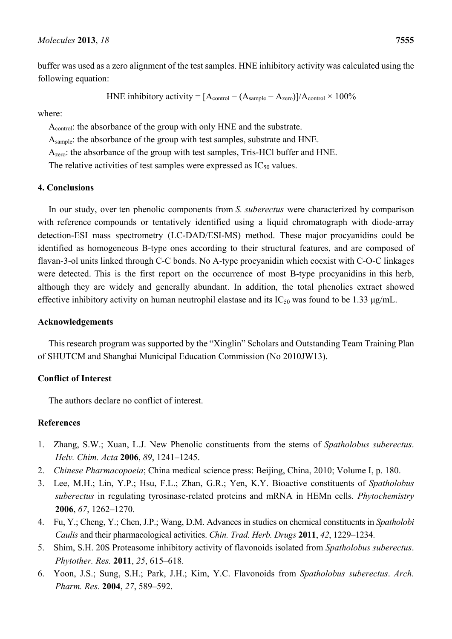buffer was used as a zero alignment of the test samples. HNE inhibitory activity was calculated using the following equation:

HNE inhibitory activity = 
$$
[A_{control} - (A_{sample} - A_{zero})]/A_{control} \times 100\%
$$

where:

Acontrol: the absorbance of the group with only HNE and the substrate.

Asample: the absorbance of the group with test samples, substrate and HNE.

Azero: the absorbance of the group with test samples, Tris-HCl buffer and HNE.

The relative activities of test samples were expressed as  $IC_{50}$  values.

### **4. Conclusions**

In our study, over ten phenolic components from *S. suberectus* were characterized by comparison with reference compounds or tentatively identified using a liquid chromatograph with diode-array detection-ESI mass spectrometry (LC-DAD/ESI-MS) method. These major procyanidins could be identified as homogeneous B-type ones according to their structural features, and are composed of flavan-3-ol units linked through C-C bonds. No A-type procyanidin which coexist with C-O-C linkages were detected. This is the first report on the occurrence of most B-type procyanidins in this herb, although they are widely and generally abundant. In addition, the total phenolics extract showed effective inhibitory activity on human neutrophil elastase and its  $IC_{50}$  was found to be 1.33  $\mu$ g/mL.

### **Acknowledgements**

This research program was supported by the "Xinglin" Scholars and Outstanding Team Training Plan of SHUTCM and Shanghai Municipal Education Commission (No 2010JW13).

# **Conflict of Interest**

The authors declare no conflict of interest.

# **References**

- 1. Zhang, S.W.; Xuan, L.J. New Phenolic constituents from the stems of *Spatholobus suberectus*. *Helv. Chim. Acta* **2006**, *89*, 1241–1245.
- 2. *Chinese Pharmacopoeia*; China medical science press: Beijing, China, 2010; Volume I, p. 180.
- 3. Lee, M.H.; Lin, Y.P.; Hsu, F.L.; Zhan, G.R.; Yen, K.Y. Bioactive constituents of *Spatholobus suberectus* in regulating tyrosinase-related proteins and mRNA in HEMn cells. *Phytochemistry* **2006**, *67*, 1262–1270.
- 4. Fu, Y.; Cheng, Y.; Chen, J.P.; Wang, D.M. Advances in studies on chemical constituents in *Spatholobi Caulis* and their pharmacological activities. *Chin. Trad. Herb. Drugs* **2011**, *42*, 1229–1234.
- 5. Shim, S.H. 20S Proteasome inhibitory activity of flavonoids isolated from *Spatholobus suberectus*. *Phytother. Res.* **2011**, *25*, 615–618.
- 6. Yoon, J.S.; Sung, S.H.; Park, J.H.; Kim, Y.C. Flavonoids from *Spatholobus suberectus*. *Arch. Pharm. Res.* **2004**, *27*, 589–592.